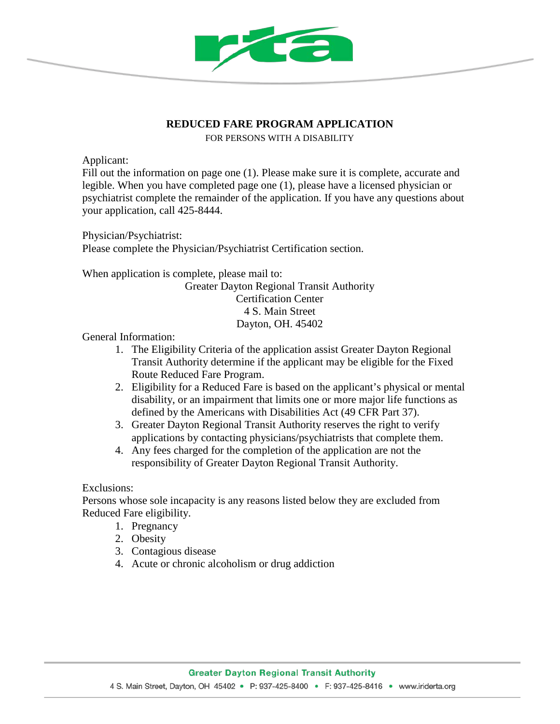

## **REDUCED FARE PROGRAM APPLICATION**

FOR PERSONS WITH A DISABILITY

Applicant:

Fill out the information on page one (1). Please make sure it is complete, accurate and legible. When you have completed page one (1), please have a licensed physician or psychiatrist complete the remainder of the application. If you have any questions about your application, call 425-8444.

Physician/Psychiatrist: Please complete the Physician/Psychiatrist Certification section.

When application is complete, please mail to: Greater Dayton Regional Transit Authority Certification Center 4 S. Main Street

Dayton, OH. 45402

General Information:

- 1. The Eligibility Criteria of the application assist Greater Dayton Regional Transit Authority determine if the applicant may be eligible for the Fixed Route Reduced Fare Program.
- 2. Eligibility for a Reduced Fare is based on the applicant's physical or mental disability, or an impairment that limits one or more major life functions as defined by the Americans with Disabilities Act (49 CFR Part 37).
- 3. Greater Dayton Regional Transit Authority reserves the right to verify applications by contacting physicians/psychiatrists that complete them.
- 4. Any fees charged for the completion of the application are not the responsibility of Greater Dayton Regional Transit Authority.

Exclusions:

Persons whose sole incapacity is any reasons listed below they are excluded from Reduced Fare eligibility.

- 1. Pregnancy
- 2. Obesity
- 3. Contagious disease
- 4. Acute or chronic alcoholism or drug addiction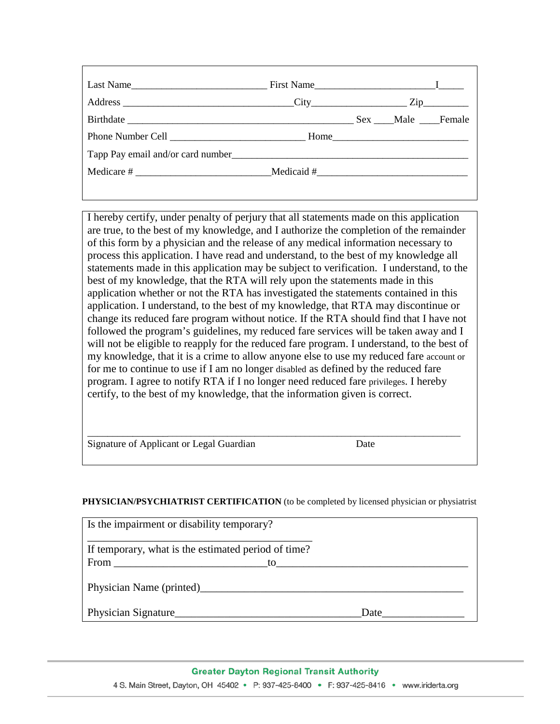|  | Sex Male Female |  |
|--|-----------------|--|
|  |                 |  |
|  |                 |  |
|  |                 |  |
|  |                 |  |

I hereby certify, under penalty of perjury that all statements made on this application are true, to the best of my knowledge, and I authorize the completion of the remainder of this form by a physician and the release of any medical information necessary to process this application. I have read and understand, to the best of my knowledge all statements made in this application may be subject to verification. I understand, to the best of my knowledge, that the RTA will rely upon the statements made in this application whether or not the RTA has investigated the statements contained in this application. I understand, to the best of my knowledge, that RTA may discontinue or change its reduced fare program without notice. If the RTA should find that I have not followed the program's guidelines, my reduced fare services will be taken away and I will not be eligible to reapply for the reduced fare program. I understand, to the best of my knowledge, that it is a crime to allow anyone else to use my reduced fare account or for me to continue to use if I am no longer disabled as defined by the reduced fare program. I agree to notify RTA if I no longer need reduced fare privileges. I hereby certify, to the best of my knowledge, that the information given is correct.

|  |  | Signature of Applicant or Legal Guardian |  |  | Date |
|--|--|------------------------------------------|--|--|------|
|--|--|------------------------------------------|--|--|------|

## **PHYSICIAN/PSYCHIATRIST CERTIFICATION** (to be completed by licensed physician or physiatrist

\_\_\_\_\_\_\_\_\_\_\_\_\_\_\_\_\_\_\_\_\_\_\_\_\_\_\_\_\_\_\_\_\_\_\_\_\_\_\_\_\_\_\_\_\_\_\_\_\_\_\_\_\_\_\_\_\_\_\_\_\_\_\_\_\_\_\_\_\_\_\_\_\_\_\_\_\_\_\_\_

| Is the impairment or disability temporary?          |      |  |  |  |
|-----------------------------------------------------|------|--|--|--|
| If temporary, what is the estimated period of time? |      |  |  |  |
| $From \_$<br>to to                                  |      |  |  |  |
| Physician Name (printed)                            |      |  |  |  |
| Physician Signature                                 | Date |  |  |  |